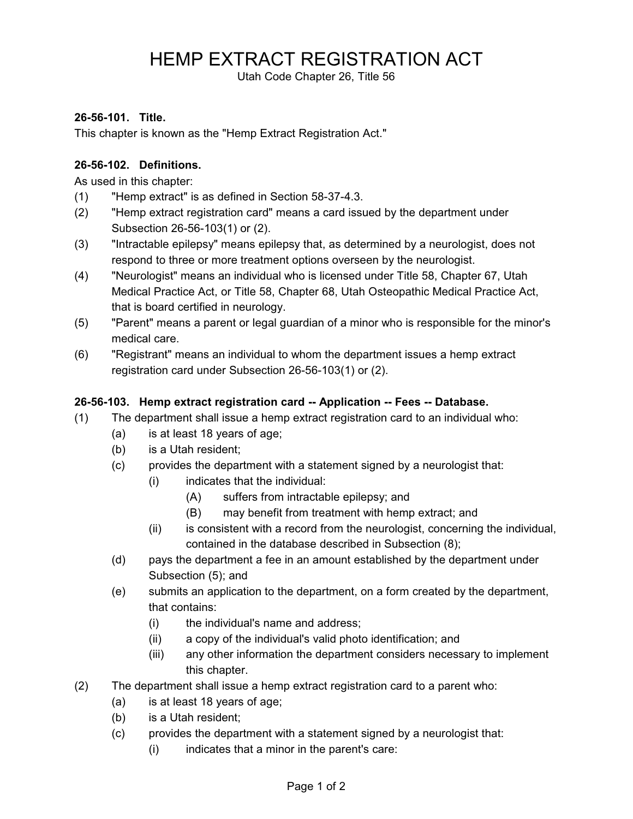## HEMP EXTRACT REGISTRATION ACT

Utah Code Chapter 26, Title 56

## **26-56-101. Title.**

This chapter is known as the "Hemp Extract Registration Act."

## **26-56-102. Definitions.**

As used in this chapter:

- (1) "Hemp extract" is as defined in Section 58-37-4.3.
- (2) "Hemp extract registration card" means a card issued by the department under Subsection 26-56-103(1) or (2).
- (3) "Intractable epilepsy" means epilepsy that, as determined by a neurologist, does not respond to three or more treatment options overseen by the neurologist.
- (4) "Neurologist" means an individual who is licensed under Title 58, Chapter 67, Utah Medical Practice Act, or Title 58, Chapter 68, Utah Osteopathic Medical Practice Act, that is board certified in neurology.
- (5) "Parent" means a parent or legal guardian of a minor who is responsible for the minor's medical care.
- (6) "Registrant" means an individual to whom the department issues a hemp extract registration card under Subsection 26-56-103(1) or (2).

## **26-56-103. Hemp extract registration card -- Application -- Fees -- Database.**

- (1) The department shall issue a hemp extract registration card to an individual who:
	- (a) is at least 18 years of age;
	- (b) is a Utah resident;
	- (c) provides the department with a statement signed by a neurologist that:
		- (i) indicates that the individual:
			- (A) suffers from intractable epilepsy; and
			- (B) may benefit from treatment with hemp extract; and
		- (ii) is consistent with a record from the neurologist, concerning the individual, contained in the database described in Subsection (8);
	- (d) pays the department a fee in an amount established by the department under Subsection (5); and
	- (e) submits an application to the department, on a form created by the department, that contains:
		- (i) the individual's name and address;
		- (ii) a copy of the individual's valid photo identification; and
		- (iii) any other information the department considers necessary to implement this chapter.
- (2) The department shall issue a hemp extract registration card to a parent who:
	- (a) is at least 18 years of age;
	- (b) is a Utah resident;
	- (c) provides the department with a statement signed by a neurologist that:
		- (i) indicates that a minor in the parent's care: